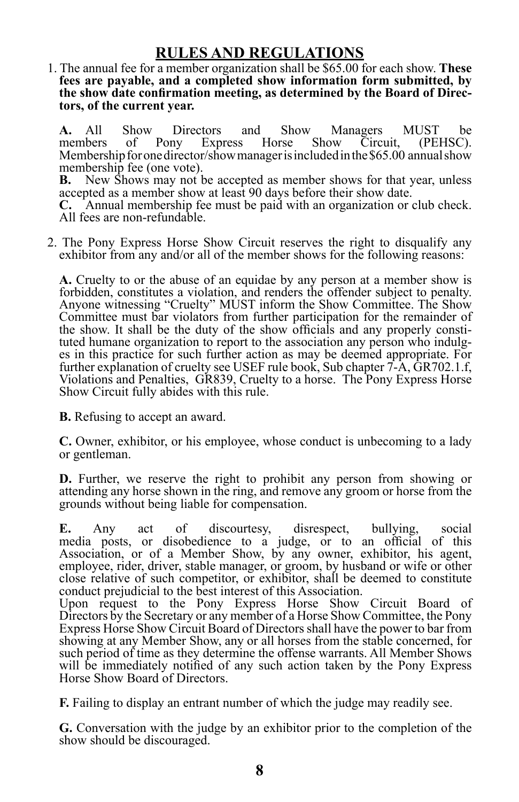1. The annual fee for a member organization shall be \$65.00 for each show. **These fees are payable, and a completed show information form submitted, by the show date confirmation meeting, as determined by the Board of Direc- tors, of the current year.** 

A. All Show Directors and Show Managers MUST be members of Pony Express Horse Show Circuit, (PEHSC). members of Pony Express Horse Show Circuit, (PEHSC). Membership for one director/show manager is included in the \$65.00 annual show membership fee (one vote).<br>**B.** New Shows may not b

New Shows may not be accepted as member shows for that year, unless accepted as a member show at least 90 days before their show date.

**C.** Annual membership fee must be paid with an organization or club check. All fees are non-refundable.

2. The Pony Express Horse Show Circuit reserves the right to disqualify any exhibitor from any and/or all of the member shows for the following reasons:

**A.** Cruelty to or the abuse of an equidae by any person at a member show is forbidden, constitutes a violation, and renders the offender subject to penalty. Anyone witnessing "Cruelty" MUST inform the Show Committee. The Show Committee must bar violators from further participation for the remainder of the show. It shall be the duty of the show officials and any properly constituted humane organization to report to the association any person who indulges in this practice for such further action as may be deemed appropriate. For further explanation of cruelty see USEF rule book, Sub chapter 7-A, GR702.1.f, Violations and Penalties, GR839, Cruelty to a horse. The Pony Express Horse Show Circuit fully abides with this rule.

**B.** Refusing to accept an award.

**C.** Owner, exhibitor, or his employee, whose conduct is unbecoming to a lady or gentleman.

**D.** Further, we reserve the right to prohibit any person from showing or attending any horse shown in the ring, and remove any groom or horse from the grounds without being liable for compensation.

**E.** Any act of discourtesy, disrespect, bullying, social media posts, or disobedience to a judge, or to an official of this Association, or of a Member Show, by any owner, exhibitor, his agent, employee, rider, driver, stable manager, or groom, by husband or wife or other close relative of such competitor, or exhibitor, shall be deemed to constitute conduct prejudicial to the best interest of this Association.

Upon request to the Pony Express Horse Show Circuit Board of Directors by the Secretary or any member of a Horse Show Committee, the Pony Express Horse Show Circuit Board of Directors shall have the power to bar from showing at any Member Show, any or all horses from the stable concerned, for such period of time as they determine the offense warrants. All Member Shows will be immediately notified of any such action taken by the Pony Express Horse Show Board of Directors.

**F.** Failing to display an entrant number of which the judge may readily see.

**G.** Conversation with the judge by an exhibitor prior to the completion of the show should be discouraged.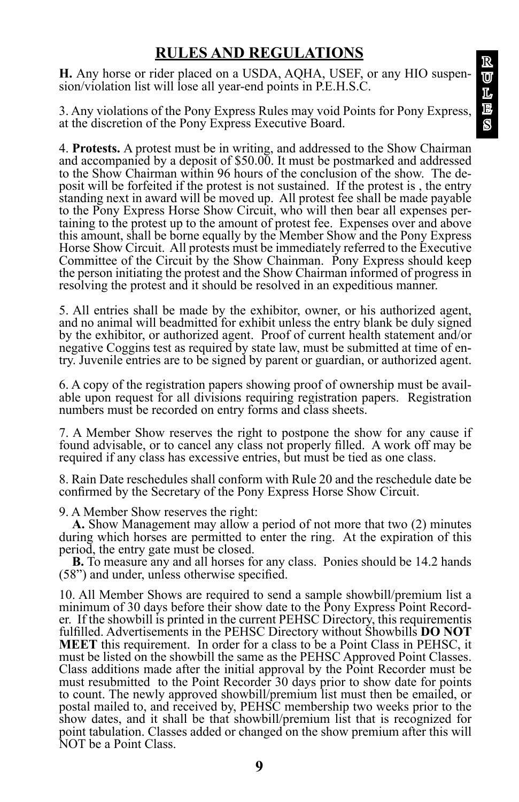**H.** Any horse or rider placed on a USDA, AQHA, USEF, or any HIO suspen- sion/violation list will lose all year-end points in P.E.H.S.C.

3. Any violations of the Pony Express Rules may void Points for Pony Express, at the discretion of the Pony Express Executive Board.

4. **Protests.** A protest must be in writing, and addressed to the Show Chairman and accompanied by a deposit of \$50.00. It must be postmarked and addressed to the Show Chairman within 96 hours of the conclusion of the show. The deposit will be forfeited if the protest is not sustained. If the protest is, the entry standing next in award will be moved up. All protest fee shall be made payable to the Pony Express Horse Show Circuit, who will then bear all expenses pertaining to the protest up to the amount of protest fee. Expenses over and above this amount, shall be borne equally by the Member Show and the Pony Express Horse Show Circuit. All protests must be immediately referred to the Executive Committee of the Circuit by the Show Chainman. Pony Express should keep the person initiating the protest and the Show Chairman informed of progress in resolving the protest and it should be resolved in an expeditious manner.

5. All entries shall be made by the exhibitor, owner, or his authorized agent, and no animal will beadmitted for exhibit unless the entry blank be duly signed by the exhibitor, or authorized agent. Proof of current health statement and/or negative Coggins test as required by state law, must be submitted at time of entry. Juvenile entries are to be signed by parent or guardian, or authorized agent.

6. A copy of the registration papers showing proof of ownership must be avail- able upon request for all divisions requiring registration papers. Registration numbers must be recorded on entry forms and class sheets.

7. A Member Show reserves the right to postpone the show for any cause if found advisable, or to cancel any class not properly filled. A work off may be required if any class has excessive entries, but must be tied as one class.

8. Rain Date reschedules shall conform with Rule 20 and the reschedule date be confirmed by the Secretary of the Pony Express Horse Show Circuit.

9. A Member Show reserves the right:

**A.** Show Management may allow a period of not more that two (2) minutes during which horses are permitted to enter the ring. At the expiration of this period, the entry gate must be closed.

**B.** To measure any and all horses for any class. Ponies should be 14.2 hands (58") and under, unless otherwise specified.

10. All Member Shows are required to send a sample showbill/premium list a er. If the show bill is printed in the current PEHSC Directory, this requirementis fulfilled. Advertisements in the PEHSC Directory without Showbills **DO NOT MEET** this requirement. In order for a class to be a Point Class in PEHSC, it must be listed on the showbill the same as the PEHSC Approved Point Classes. Class additions made after the initial approval by the Point Recorder must be must resubmitted to the Point Recorder 30 days prior to show date for points to count. The newly approved showbill/premium list must then be emailed, or postal mailed to, and received by, PEHSC membership two weeks prior to the show dates, and it shall be that showbill/premium list that is recognized for point tabulation. Classes added or changed on the show premium after this will NOT be a Point Class.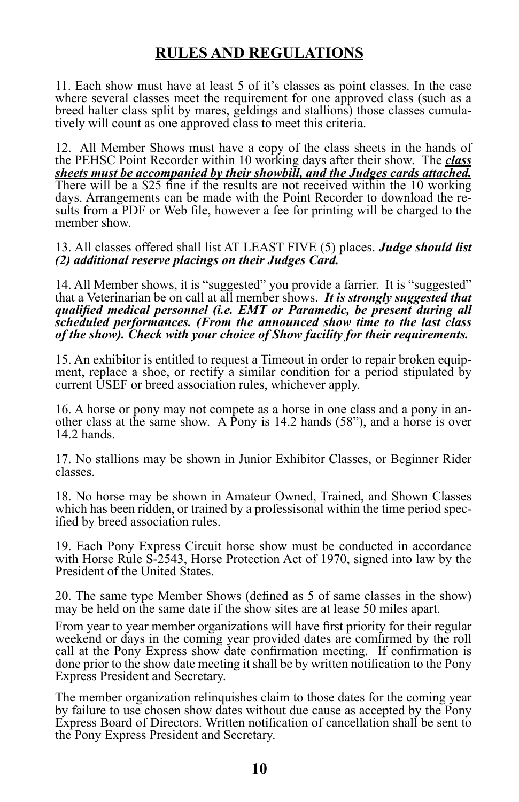11. Each show must have at least 5 of it's classes as point classes. In the case where several classes meet the requirement for one approved class (such as a breed halter class split by mares, geldings and stallions) those classes cumula- tively will count as one approved class to meet this criteria.

12. All Member Shows must have a copy of the class sheets in the hands of the PEHSC Point Recorder within 10 working days after their show. The *class sheets must be accompanied by their showbill, and the Judges cards attached.* There will be a \$25 fine if the results are not received within the 10 working days. Arrangements can be made with the Point Recorder to download the results from a PDF or Web file, however a fee for printing will be charged to the member show.

13. All classes offered shall list AT LEAST FIVE (5) places. *Judge should list (2) additional reserve placings on their Judges Card.*

14. All Member shows, it is "suggested" you provide a farrier. It is "suggested" that a Veterinarian be on call at all member shows. *It is strongly suggested that qualified medical personnel (i.e. EMT or Paramedic, be present during all scheduled performances. (From the announced show time to the last class of the show). Check with your choice of Show facility for their requirements.*

15. An exhibitor is entitled to request a Timeout in order to repair broken equip- ment, replace a shoe, or rectify a similar condition for a period stipulated by current USEF or breed association rules, whichever apply.

16. A horse or pony may not compete as a horse in one class and a pony in an- other class at the same show. A Pony is 14.2 hands (58"), and a horse is over 14.2 hands.

17. No stallions may be shown in Junior Exhibitor Classes, or Beginner Rider classes.

18. No horse may be shown in Amateur Owned, Trained, and Shown Classes which has been ridden, or trained by a professisonal within the time period spec- ified by breed association rules.

19. Each Pony Express Circuit horse show must be conducted in accordance with Horse Rule S-2543, Horse Protection Act of 1970, signed into law by the President of the United States.

20. The same type Member Shows (defined as 5 of same classes in the show) may be held on the same date if the show sites are at lease 50 miles apart.

From year to year member organizations will have first priority for their regular weekend or days in the coming year provided dates are comfirmed by the roll call at the Pony Express show date confirmation meeting. If confirmation is done prior to the show date meeting it shall be by written notification to the Pony Express President and Secretary.

The member organization relinquishes claim to those dates for the coming year by failure to use chosen show dates without due cause as accepted by the Pony Express Board of Directors. Written notification of cancellation shall be sent to the Pony Express President and Secretary.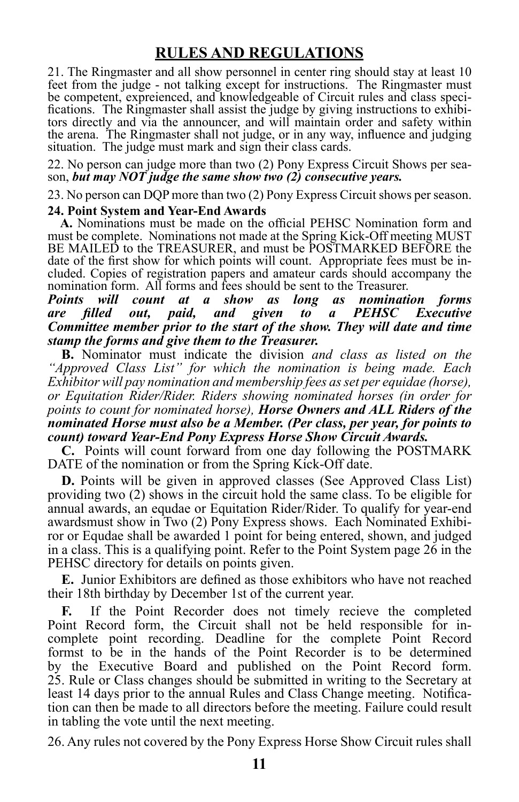21. The Ringmaster and all show personnel in center ring should stay at least 10 feet from the judge - not talking except for instructions. The Ringmaster must fications. The Ringmaster shall assist the judge by giving instructions to exhibitors directly and via the announcer, and will maintain order and safety within the arena. The Ringmaster shall not judge, or in any way, influence and judging situation. The judge must mark and sign their class cards.

22. No person can judge more than two (2) Pony Express Circuit Shows per sea- son, *but may NOT judge the same show two (2) consecutive years.* 

23. No person can DQP more than two (2) Pony Express Circuit shows per season.

#### **24. Point System and Year-End Awards**

**A.** Nominations must be made on the official PEHSC Nomination form and must be complete. Nominations not made at the Spring Kick-Off meeting MUST BE MAILED to the TREASURER, and must be POSTMARKED BEFORE the date of the first show for which points will count. Appropriate fees must be included. Copies of registration papers and amateur cards should accompany the nomination form. All forms and fees should be sent to the Treasurer.

#### *Points will count at a show as long as nomination forms are filled out, paid, and given to a PEHSC Executive Committee member prior to the start of the show. They will date and time stamp the forms and give them to the Treasurer.*

**B.** Nominator must indicate the division *and class as listed on the "Approved Class List" for which the nomination is being made. Each Exhibitor will pay nomination and membership fees as set per equidae (horse), or Equitation Rider/Rider. Riders showing nominated horses (in order for points to count for nominated horse), Horse Owners and ALL Riders of the nominated Horse must also be a Member. (Per class, per year, for points to count) toward Year-End Pony Express Horse Show Circuit Awards.*

**C.** Points will count forward from one day following the POSTMARK DATE of the nomination or from the Spring Kick-Off date.

**D.** Points will be given in approved classes (See Approved Class List) providing two (2) shows in the circuit hold the same class. To be eligible for annual awards, an equdae or Equitation Rider/Rider. To qualify for year-end awardsmust show in Two (2) Pony Express shows. Each Nominated Exhibiror or Equdae shall be awarded 1 point for being entered, shown, and judged in a class. This is a qualifying point. Refer to the Point System page 26 in the PEHSC directory for details on points given.

**E.** Junior Exhibitors are defined as those exhibitors who have not reached their 18th birthday by December 1st of the current year.

**F.** If the Point Recorder does not timely recieve the completed Point Record form, the Circuit shall not be held responsible for incomplete point recording. Deadline for the complete Point Record formst to be in the hands of the Point Recorder is to be determined by the Executive Board and published on the Point Record form. 25. Rule or Class changes should be submitted in writing to the Secretary at least 14 days prior to the annual Rules and Class Change meeting. Notification can then be made to all directors before the meeting. Failure could result in tabling the vote until the next meeting.

26. Any rules not covered by the Pony Express Horse Show Circuit rules shall